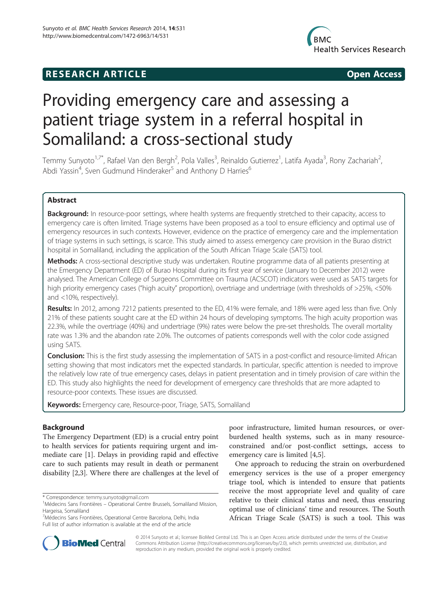# **RESEARCH ARTICLE Example 2014 The SEAR CH ACCESS**



# Providing emergency care and assessing a patient triage system in a referral hospital in Somaliland: a cross-sectional study

Temmy Sunyoto<sup>1,7\*</sup>, Rafael Van den Bergh<sup>2</sup>, Pola Valles<sup>3</sup>, Reinaldo Gutierrez<sup>1</sup>, Latifa Ayada<sup>3</sup>, Rony Zachariah<sup>2</sup> , Abdi Yassin<sup>4</sup>, Sven Gudmund Hinderaker<sup>5</sup> and Anthony D Harries<sup>6</sup>

# Abstract

Background: In resource-poor settings, where health systems are frequently stretched to their capacity, access to emergency care is often limited. Triage systems have been proposed as a tool to ensure efficiency and optimal use of emergency resources in such contexts. However, evidence on the practice of emergency care and the implementation of triage systems in such settings, is scarce. This study aimed to assess emergency care provision in the Burao district hospital in Somaliland, including the application of the South African Triage Scale (SATS) tool.

Methods: A cross-sectional descriptive study was undertaken. Routine programme data of all patients presenting at the Emergency Department (ED) of Burao Hospital during its first year of service (January to December 2012) were analysed. The American College of Surgeons Committee on Trauma (ACSCOT) indicators were used as SATS targets for high priority emergency cases ("high acuity" proportion), overtriage and undertriage (with thresholds of >25%, <50% and <10%, respectively).

Results: In 2012, among 7212 patients presented to the ED, 41% were female, and 18% were aged less than five. Only 21% of these patients sought care at the ED within 24 hours of developing symptoms. The high acuity proportion was 22.3%, while the overtriage (40%) and undertriage (9%) rates were below the pre-set thresholds. The overall mortality rate was 1.3% and the abandon rate 2.0%. The outcomes of patients corresponds well with the color code assigned using SATS.

Conclusion: This is the first study assessing the implementation of SATS in a post-conflict and resource-limited African setting showing that most indicators met the expected standards. In particular, specific attention is needed to improve the relatively low rate of true emergency cases, delays in patient presentation and in timely provision of care within the ED. This study also highlights the need for development of emergency care thresholds that are more adapted to resource-poor contexts. These issues are discussed.

Keywords: Emergency care, Resource-poor, Triage, SATS, Somaliland

# Background

The Emergency Department (ED) is a crucial entry point to health services for patients requiring urgent and immediate care [\[1\]](#page-6-0). Delays in providing rapid and effective care to such patients may result in death or permanent disability [\[2,3](#page-6-0)]. Where there are challenges at the level of



One approach to reducing the strain on overburdened emergency services is the use of a proper emergency triage tool, which is intended to ensure that patients receive the most appropriate level and quality of care relative to their clinical status and need, thus ensuring optimal use of clinicians' time and resources. The South African Triage Scale (SATS) is such a tool. This was



© 2014 Sunyoto et al.; licensee BioMed Central Ltd. This is an Open Access article distributed under the terms of the Creative Commons Attribution License [\(http://creativecommons.org/licenses/by/2.0\)](http://creativecommons.org/licenses/by/2.0), which permits unrestricted use, distribution, and reproduction in any medium, provided the original work is properly credited.

<sup>\*</sup> Correspondence: [temmy.sunyoto@gmail.com](mailto:temmy.sunyoto@gmail.com) <sup>1</sup>

<sup>&</sup>lt;sup>1</sup>Médecins Sans Frontières – Operational Centre Brussels, Somaliland Mission, Hargeisa, Somaliland

<sup>7</sup> Médecins Sans Frontières, Operational Centre Barcelona, Delhi, India Full list of author information is available at the end of the article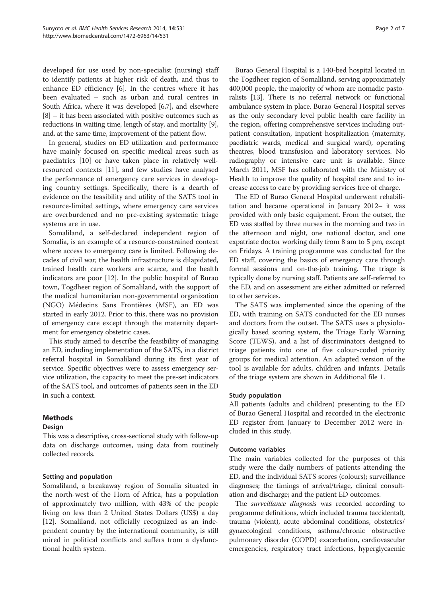developed for use used by non-specialist (nursing) staff to identify patients at higher risk of death, and thus to enhance ED efficiency [\[6](#page-6-0)]. In the centres where it has been evaluated – such as urban and rural centres in South Africa, where it was developed [\[6,7](#page-6-0)], and elsewhere [[8](#page-6-0)] – it has been associated with positive outcomes such as reductions in waiting time, length of stay, and mortality [[9](#page-6-0)], and, at the same time, improvement of the patient flow.

In general, studies on ED utilization and performance have mainly focused on specific medical areas such as paediatrics [[10](#page-6-0)] or have taken place in relatively wellresourced contexts [[11\]](#page-6-0), and few studies have analysed the performance of emergency care services in developing country settings. Specifically, there is a dearth of evidence on the feasibility and utility of the SATS tool in resource-limited settings, where emergency care services are overburdened and no pre-existing systematic triage systems are in use.

Somaliland, a self-declared independent region of Somalia, is an example of a resource-constrained context where access to emergency care is limited. Following decades of civil war, the health infrastructure is dilapidated, trained health care workers are scarce, and the health indicators are poor [[12](#page-6-0)]. In the public hospital of Burao town, Togdheer region of Somaliland, with the support of the medical humanitarian non-governmental organization (NGO) Médecins Sans Frontières (MSF), an ED was started in early 2012. Prior to this, there was no provision of emergency care except through the maternity department for emergency obstetric cases.

This study aimed to describe the feasibility of managing an ED, including implementation of the SATS, in a district referral hospital in Somaliland during its first year of service. Specific objectives were to assess emergency service utilization, the capacity to meet the pre-set indicators of the SATS tool, and outcomes of patients seen in the ED in such a context.

# Methods

#### Design

This was a descriptive, cross-sectional study with follow-up data on discharge outcomes, using data from routinely collected records.

# Setting and population

Somaliland, a breakaway region of Somalia situated in the north-west of the Horn of Africa, has a population of approximately two million, with 43% of the people living on less than 2 United States Dollars (US\$) a day [[12\]](#page-6-0). Somaliland, not officially recognized as an independent country by the international community, is still mired in political conflicts and suffers from a dysfunctional health system.

Burao General Hospital is a 140-bed hospital located in the Togdheer region of Somaliland, serving approximately 400,000 people, the majority of whom are nomadic pastoralists [\[13\]](#page-6-0). There is no referral network or functional ambulance system in place. Burao General Hospital serves as the only secondary level public health care facility in the region, offering comprehensive services including outpatient consultation, inpatient hospitalization (maternity, paediatric wards, medical and surgical ward), operating theatres, blood transfusion and laboratory services. No radiography or intensive care unit is available. Since March 2011, MSF has collaborated with the Ministry of Health to improve the quality of hospital care and to increase access to care by providing services free of charge.

The ED of Burao General Hospital underwent rehabilitation and became operational in January 2012– it was provided with only basic equipment. From the outset, the ED was staffed by three nurses in the morning and two in the afternoon and night, one national doctor, and one expatriate doctor working daily from 8 am to 5 pm, except on Fridays. A training programme was conducted for the ED staff, covering the basics of emergency care through formal sessions and on-the-job training. The triage is typically done by nursing staff. Patients are self-referred to the ED, and on assessment are either admitted or referred to other services.

The SATS was implemented since the opening of the ED, with training on SATS conducted for the ED nurses and doctors from the outset. The SATS uses a physiologically based scoring system, the Triage Early Warning Score (TEWS), and a list of discriminators designed to triage patients into one of five colour-coded priority groups for medical attention. An adapted version of the tool is available for adults, children and infants. Details of the triage system are shown in Additional file [1](#page-5-0).

#### Study population

All patients (adults and children) presenting to the ED of Burao General Hospital and recorded in the electronic ED register from January to December 2012 were included in this study.

# Outcome variables

The main variables collected for the purposes of this study were the daily numbers of patients attending the ED, and the individual SATS scores (colours); surveillance diagnoses; the timings of arrival/triage, clinical consultation and discharge; and the patient ED outcomes.

The surveillance diagnosis was recorded according to programme definitions, which included trauma (accidental), trauma (violent), acute abdominal conditions, obstetrics/ gynaecological conditions, asthma/chronic obstructive pulmonary disorder (COPD) exacerbation, cardiovascular emergencies, respiratory tract infections, hyperglycaemic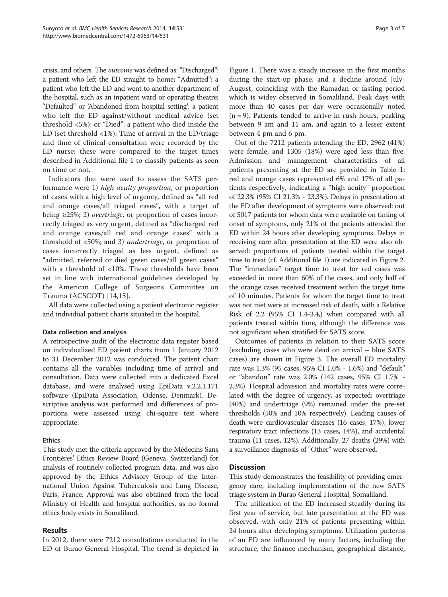crisis, and others. The outcome was defined as: "Discharged": a patient who left the ED straight to home; "Admitted": a patient who left the ED and went to another department of the hospital, such as an inpatient ward or operating theatre; "Defaulted" or 'Abandoned from hospital setting': a patient who left the ED against/without medical advice (set threshold <5%); or "Died": a patient who died inside the ED (set threshold <1%). Time of arrival in the ED/triage and time of clinical consultation were recorded by the ED nurse: these were compared to the target times described in Additional file [1](#page-5-0) to classify patients as seen on time or not.

Indicators that were used to assess the SATS performance were 1) high acuity proportion, or proportion of cases with a high level of urgency, defined as "all red and orange cases/all triaged cases", with a target of being  $\geq$ 25%; 2) *overtriage*, or proportion of cases incorrectly triaged as very urgent, defined as "discharged red and orange cases/all red and orange cases" with a threshold of <50%; and 3) undertriage, or proportion of cases incorrectly triaged as less urgent, defined as "admitted, referred or died green cases/all green cases" with a threshold of <10%. These thresholds have been set in line with international guidelines developed by the American College of Surgeons Committee on Trauma (ACSCOT) [\[14](#page-6-0),[15\]](#page-6-0).

All data were collected using a patient electronic register and individual patient charts situated in the hospital.

#### Data collection and analysis

A retrospective audit of the electronic data register based on individualized ED patient charts from 1 January 2012 to 31 December 2012 was conducted. The patient chart contains all the variables including time of arrival and consultation. Data were collected into a dedicated Excel database, and were analysed using EpiData v.2.2.1.171 software (EpiData Association, Odense, Denmark). Descriptive analysis was performed and differences of proportions were assessed using chi-square test where appropriate.

# Ethics

This study met the criteria approved by the Médecins Sans Frontières' Ethics Review Board (Geneva, Switzerland) for analysis of routinely-collected program data, and was also approved by the Ethics Advisory Group of the International Union Against Tuberculosis and Lung Disease, Paris, France. Approval was also obtained from the local Ministry of Health and hospital authorities, as no formal ethics body exists in Somaliland.

# Results

In 2012, there were 7212 consultations conducted in the ED of Burao General Hospital. The trend is depicted in Figure [1](#page-3-0). There was a steady increase in the first months during the start-up phase, and a decline around July-August, coinciding with the Ramadan or fasting period which is widey observed in Somaliland. Peak days with more than 40 cases per day were occasionally noted  $(n = 9)$ . Patients tended to arrive in rush hours, peaking between 9 am and 11 am, and again to a lesser extent between 4 pm and 6 pm.

Out of the 7212 patients attending the ED, 2962 (41%) were female, and 1305 (18%) were aged less than five. Admission and management characteristics of all patients presenting at the ED are provided in Table [1](#page-4-0): red and orange cases represented 6% and 17% of all patients respectively, indicating a "high acuity" proportion of 22.3% (95% CI 21.3% - 23.3%). Delays in presentation at the ED after development of symptoms were observed: out of 5017 patients for whom data were available on timing of onset of symptoms, only 21% of the patients attended the ED within 24 hours after developing symptoms. Delays in receiving care after presentation at the ED were also observed: proportions of patients treated within the target time to treat (cf. Additional file [1\)](#page-5-0) are indicated in Figure [2](#page-4-0). The "immediate" target time to treat for red cases was exceeded in more than 60% of the cases, and only half of the orange cases received treatment within the target time of 10 minutes. Patients for whom the target time to treat was not met were at increased risk of death, with a Relative Risk of 2.2 (95% CI 1.4-3.4,) when compared with all patients treated within time, although the difference was not significant when stratified for SATS score.

Outcomes of patients in relation to their SATS score (excluding cases who were dead on arrival – blue SATS cases) are shown in Figure [3.](#page-5-0) The overall ED mortality rate was 1.3% (95 cases, 95% CI 1.0% - 1.6%) and "default" or "abandon" rate was 2.0% (142 cases, 95% CI 1.7% - 2.3%). Hospital admission and mortality rates were correlated with the degree of urgency, as expected; overtriage (40%) and undertriage (9%) remained under the pre-set thresholds (50% and 10% respectively). Leading causes of death were cardiovascular diseases (16 cases, 17%), lower respiratory tract infections (13 cases, 14%), and accidental trauma (11 cases, 12%). Additionally, 27 deaths (29%) with a surveillance diagnosis of "Other" were observed.

# **Discussion**

This study demonstrates the feasibility of providing emergency care, including implementation of the new SATS triage system in Burao General Hospital, Somaliland.

The utilization of the ED increased steadily during its first year of service, but late presentation at the ED was observed, with only 21% of patients presenting within 24 hours after developing symptoms. Utilization patterns of an ED are influenced by many factors, including the structure, the finance mechanism, geographical distance,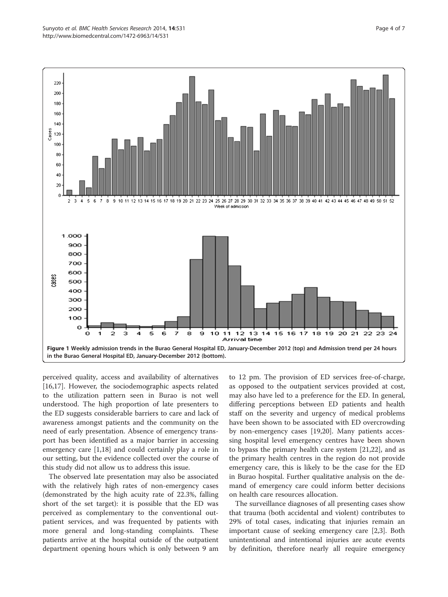<span id="page-3-0"></span>

perceived quality, access and availability of alternatives [[16,17\]](#page-6-0). However, the sociodemographic aspects related to the utilization pattern seen in Burao is not well understood. The high proportion of late presenters to the ED suggests considerable barriers to care and lack of awareness amongst patients and the community on the need of early presentation. Absence of emergency transport has been identified as a major barrier in accessing emergency care [[1,18\]](#page-6-0) and could certainly play a role in our setting, but the evidence collected over the course of this study did not allow us to address this issue.

The observed late presentation may also be associated with the relatively high rates of non-emergency cases (demonstrated by the high acuity rate of 22.3%, falling short of the set target): it is possible that the ED was perceived as complementary to the conventional outpatient services, and was frequented by patients with more general and long-standing complaints. These patients arrive at the hospital outside of the outpatient department opening hours which is only between 9 am

to 12 pm. The provision of ED services free-of-charge, as opposed to the outpatient services provided at cost, may also have led to a preference for the ED. In general, differing perceptions between ED patients and health staff on the severity and urgency of medical problems have been shown to be associated with ED overcrowding by non-emergency cases [\[19,20](#page-6-0)]. Many patients accessing hospital level emergency centres have been shown to bypass the primary health care system [\[21,22](#page-6-0)], and as the primary health centres in the region do not provide emergency care, this is likely to be the case for the ED in Burao hospital. Further qualitative analysis on the demand of emergency care could inform better decisions on health care resources allocation.

The surveillance diagnoses of all presenting cases show that trauma (both accidental and violent) contributes to 29% of total cases, indicating that injuries remain an important cause of seeking emergency care [\[2,3](#page-6-0)]. Both unintentional and intentional injuries are acute events by definition, therefore nearly all require emergency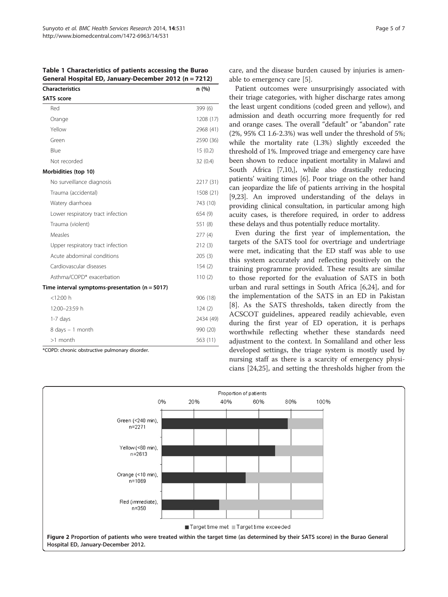<span id="page-4-0"></span>Table 1 Characteristics of patients accessing the Burao General Hospital ED, January-December 2012 (n = 7212)

| <b>Characteristics</b>                             | n(%)      |
|----------------------------------------------------|-----------|
| <b>SATS</b> score                                  |           |
| Red                                                | 399 (6)   |
| Orange                                             | 1208 (17) |
| Yellow                                             | 2968 (41) |
| Green                                              | 2590 (36) |
| Blue                                               | 15(0.2)   |
| Not recorded                                       | 32(0.4)   |
| Morbidities (top 10)                               |           |
| No surveillance diagnosis                          | 2217 (31) |
| Trauma (accidental)                                | 1508 (21) |
| Watery diarrhoea                                   | 743 (10)  |
| Lower respiratory tract infection                  | 654 (9)   |
| Trauma (violent)                                   | 551 (8)   |
| Measles                                            | 277(4)    |
| Upper respiratory tract infection                  | 212(3)    |
| Acute abdominal conditions                         | 205(3)    |
| Cardiovascular diseases                            | 154(2)    |
| Asthma/COPD* exacerbation                          | 110(2)    |
| Time interval symptoms-presentation ( $n = 5017$ ) |           |
| <12:00 h                                           | 906 (18)  |
| 12:00-23:59 h                                      | 124(2)    |
| $1-7$ days                                         | 2434 (49) |
| 8 days - 1 month                                   | 990 (20)  |
| >1 month                                           | 563 (11)  |

\*COPD: chronic obstructive pulmonary disorder.

care, and the disease burden caused by injuries is amenable to emergency care [\[5](#page-6-0)].

Patient outcomes were unsurprisingly associated with their triage categories, with higher discharge rates among the least urgent conditions (coded green and yellow), and admission and death occurring more frequently for red and orange cases. The overall "default" or "abandon" rate (2%, 95% CI 1.6-2.3%) was well under the threshold of 5%; while the mortality rate (1.3%) slightly exceeded the threshold of 1%. Improved triage and emergency care have been shown to reduce inpatient mortality in Malawi and South Africa [7,10,], while also drastically reducing patients' waiting times [\[6](#page-6-0)]. Poor triage on the other hand can jeopardize the life of patients arriving in the hospital [[9,23](#page-6-0)]. An improved understanding of the delays in providing clinical consultation, in particular among high acuity cases, is therefore required, in order to address these delays and thus potentially reduce mortality.

Even during the first year of implementation, the targets of the SATS tool for overtriage and undertriage were met, indicating that the ED staff was able to use this system accurately and reflecting positively on the training programme provided. These results are similar to those reported for the evaluation of SATS in both urban and rural settings in South Africa [[6,24\]](#page-6-0), and for the implementation of the SATS in an ED in Pakistan [[8\]](#page-6-0). As the SATS thresholds, taken directly from the ACSCOT guidelines, appeared readily achievable, even during the first year of ED operation, it is perhaps worthwhile reflecting whether these standards need adjustment to the context. In Somaliland and other less developed settings, the triage system is mostly used by nursing staff as there is a scarcity of emergency physicians [[24,25\]](#page-6-0), and setting the thresholds higher from the

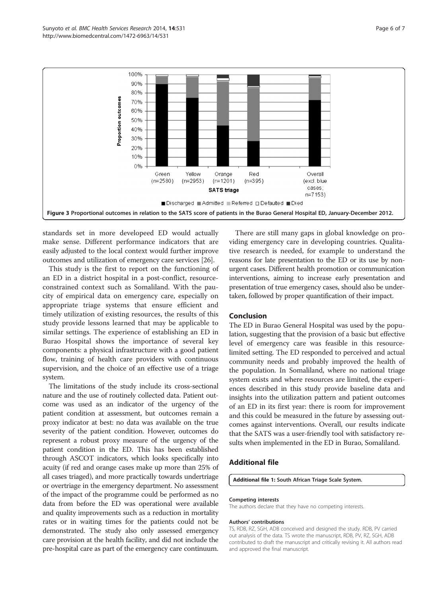<span id="page-5-0"></span>

standards set in more developeed ED would actually make sense. Different performance indicators that are easily adjusted to the local context would further improve outcomes and utilization of emergency care services [[26](#page-6-0)].

This study is the first to report on the functioning of an ED in a district hospital in a post-conflict, resourceconstrained context such as Somaliland. With the paucity of empirical data on emergency care, especially on appropriate triage systems that ensure efficient and timely utilization of existing resources, the results of this study provide lessons learned that may be applicable to similar settings. The experience of establishing an ED in Burao Hospital shows the importance of several key components: a physical infrastructure with a good patient flow, training of health care providers with continuous supervision, and the choice of an effective use of a triage system.

The limitations of the study include its cross-sectional nature and the use of routinely collected data. Patient outcome was used as an indicator of the urgency of the patient condition at assessment, but outcomes remain a proxy indicator at best: no data was available on the true severity of the patient condition. However, outcomes do represent a robust proxy measure of the urgency of the patient condition in the ED. This has been established through ASCOT indicators, which looks specifically into acuity (if red and orange cases make up more than 25% of all cases triaged), and more practically towards undertriage or overtriage in the emergency department. No assessment of the impact of the programme could be performed as no data from before the ED was operational were available and quality improvements such as a reduction in mortality rates or in waiting times for the patients could not be demonstrated. The study also only assessed emergency care provision at the health facility, and did not include the pre-hospital care as part of the emergency care continuum.

There are still many gaps in global knowledge on providing emergency care in developing countries. Qualitative research is needed, for example to understand the reasons for late presentation to the ED or its use by nonurgent cases. Different health promotion or communication interventions, aiming to increase early presentation and presentation of true emergency cases, should also be undertaken, followed by proper quantification of their impact.

# Conclusion

The ED in Burao General Hospital was used by the population, suggesting that the provision of a basic but effective level of emergency care was feasible in this resourcelimited setting. The ED responded to perceived and actual community needs and probably improved the health of the population. In Somaliland, where no national triage system exists and where resources are limited, the experiences described in this study provide baseline data and insights into the utilization pattern and patient outcomes of an ED in its first year: there is room for improvement and this could be measured in the future by assessing outcomes against interventions. Overall, our results indicate that the SATS was a user-friendly tool with satisfactory results when implemented in the ED in Burao, Somaliland.

# Additional file

#### [Additional file 1:](http://www.biomedcentral.com/content/supplementary/s12913-014-0531-3-s1.doc) South African Triage Scale System.

#### Competing interests

The authors declare that they have no competing interests.

#### Authors' contributions

TS, RDB, RZ, SGH, ADB conceived and designed the study. RDB, PV carried out analysis of the data. TS wrote the manuscript, RDB, PV, RZ, SGH, ADB contributed to draft the manuscript and critically revising it. All authors read and approved the final manuscript.